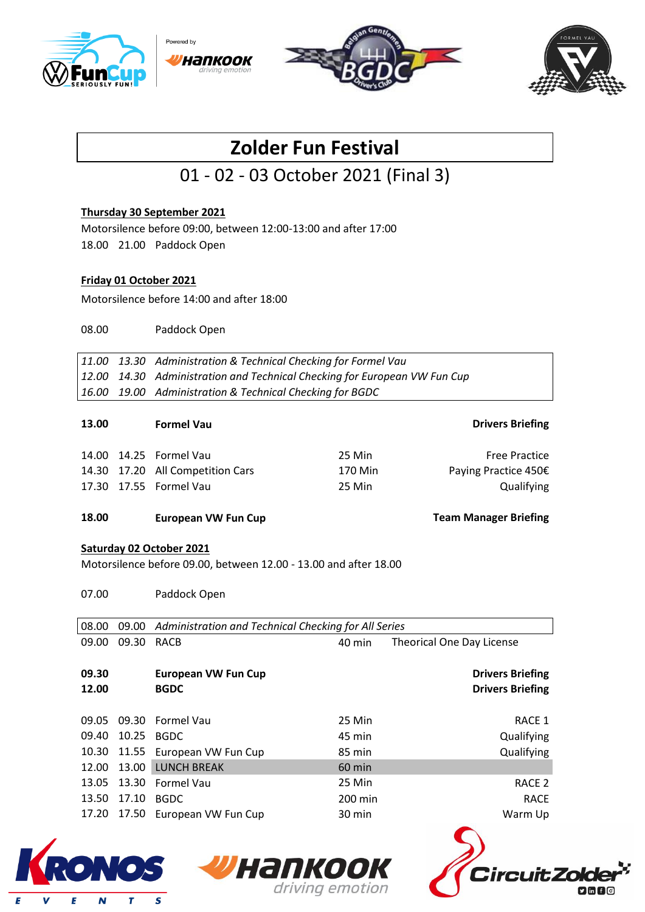







# **Zolder Fun Festival**

# 01 - 02 - 03 October 2021 (Final 3)

### **Thursday 30 September 2021**

Motorsilence before 09:00, between 12:00-13:00 and after 17:00 18.00 21.00 Paddock Open

#### **Friday 01 October 2021**

Motorsilence before 14:00 and after 18:00

08.00 Paddock Open

*11.00 13.30 Administration & Technical Checking for Formel Vau 12.00 14.30 Administration and Technical Checking for European VW Fun Cup 16.00 19.00 Administration & Technical Checking for BGDC*

| <b>Drivers Briefing</b><br><b>Formel Vau</b>                                                                                                                                      | 13.00 |
|-----------------------------------------------------------------------------------------------------------------------------------------------------------------------------------|-------|
| 14.00 14.25 Formel Vau<br>25 Min<br><b>Free Practice</b><br>14.30 17.20 All Competition Cars<br>170 Min<br>Paying Practice 450€<br>17.30 17.55 Formel Vau<br>Qualifying<br>25 Min |       |

#### **18.00 European VW Fun Cup Team Manager Briefing**

#### **Saturday 02 October 2021**

Motorsilence before 09.00, between 12.00 - 13.00 and after 18.00

07.00 Paddock Open

| 08.00 | 09.00 | Administration and Technical Checking for All Series |          |                           |  |  |
|-------|-------|------------------------------------------------------|----------|---------------------------|--|--|
| 09.00 | 09.30 | RACB                                                 | 40 min   | Theorical One Day License |  |  |
|       |       |                                                      |          |                           |  |  |
| 09.30 |       | <b>European VW Fun Cup</b>                           |          | <b>Drivers Briefing</b>   |  |  |
| 12.00 |       | <b>BGDC</b>                                          |          | <b>Drivers Briefing</b>   |  |  |
|       |       |                                                      |          |                           |  |  |
| 09.05 |       | 09.30 Formel Vau                                     | 25 Min   | RACE 1                    |  |  |
| 09.40 | 10.25 | BGDC                                                 | 45 min   | Qualifying                |  |  |
| 10.30 |       | 11.55 European VW Fun Cup                            | 85 min   | Qualifying                |  |  |
| 12.00 | 13.00 | <b>LUNCH BREAK</b>                                   | $60$ min |                           |  |  |
| 13.05 |       | 13.30 Formel Vau                                     | 25 Min   | RACE 2                    |  |  |
| 13.50 | 17.10 | <b>BGDC</b>                                          | 200 min  | <b>RACE</b>               |  |  |
| 17.20 | 17.50 | European VW Fun Cup                                  | 30 min   | Warm Up                   |  |  |

Hankook

driving emotion